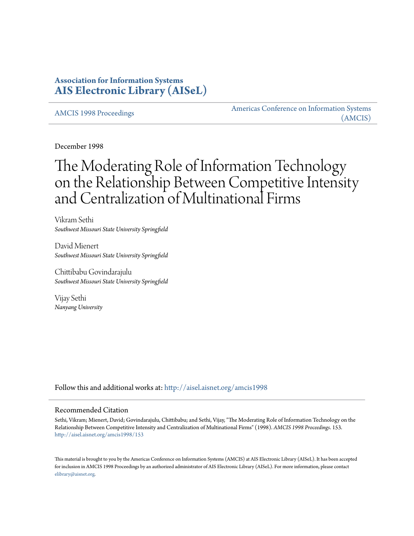## **Association for Information Systems [AIS Electronic Library \(AISeL\)](http://aisel.aisnet.org?utm_source=aisel.aisnet.org%2Famcis1998%2F153&utm_medium=PDF&utm_campaign=PDFCoverPages)**

[AMCIS 1998 Proceedings](http://aisel.aisnet.org/amcis1998?utm_source=aisel.aisnet.org%2Famcis1998%2F153&utm_medium=PDF&utm_campaign=PDFCoverPages)

[Americas Conference on Information Systems](http://aisel.aisnet.org/amcis?utm_source=aisel.aisnet.org%2Famcis1998%2F153&utm_medium=PDF&utm_campaign=PDFCoverPages) [\(AMCIS\)](http://aisel.aisnet.org/amcis?utm_source=aisel.aisnet.org%2Famcis1998%2F153&utm_medium=PDF&utm_campaign=PDFCoverPages)

December 1998

# The Moderating Role of Information Technology on the Relationship Between Competitive Intensity and Centralization of Multinational Firms

Vikram Sethi *Southwest Missouri State University Springfield*

David Mienert *Southwest Missouri State University Springfield*

Chittibabu Govindarajulu *Southwest Missouri State University Springfield*

Vijay Sethi *Nanyang University*

Follow this and additional works at: [http://aisel.aisnet.org/amcis1998](http://aisel.aisnet.org/amcis1998?utm_source=aisel.aisnet.org%2Famcis1998%2F153&utm_medium=PDF&utm_campaign=PDFCoverPages)

#### Recommended Citation

Sethi, Vikram; Mienert, David; Govindarajulu, Chittibabu; and Sethi, Vijay, "The Moderating Role of Information Technology on the Relationship Between Competitive Intensity and Centralization of Multinational Firms" (1998). *AMCIS 1998 Proceedings*. 153. [http://aisel.aisnet.org/amcis1998/153](http://aisel.aisnet.org/amcis1998/153?utm_source=aisel.aisnet.org%2Famcis1998%2F153&utm_medium=PDF&utm_campaign=PDFCoverPages)

This material is brought to you by the Americas Conference on Information Systems (AMCIS) at AIS Electronic Library (AISeL). It has been accepted for inclusion in AMCIS 1998 Proceedings by an authorized administrator of AIS Electronic Library (AISeL). For more information, please contact [elibrary@aisnet.org.](mailto:elibrary@aisnet.org%3E)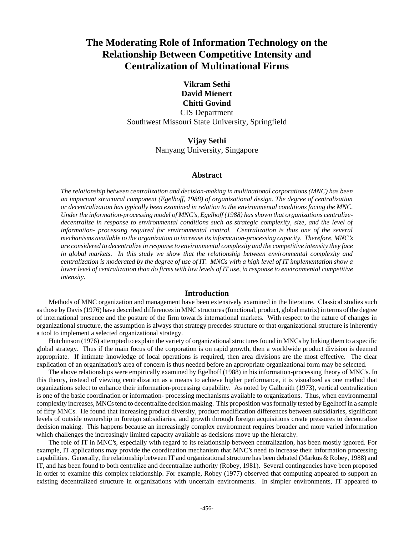## **The Moderating Role of Information Technology on the Relationship Between Competitive Intensity and Centralization of Multinational Firms**

**Vikram Sethi David Mienert Chitti Govind** CIS Department Southwest Missouri State University, Springfield

> **Vijay Sethi** Nanyang University, Singapore

#### **Abstract**

*The relationship between centralization and decision-making in multinational corporations (MNC) has been an important structural component (Egelhoff, 1988) of organizational design. The degree of centralization or decentralization has typically been examined in relation to the environmental conditions facing the MNC. Under the information-processing model of MNC's, Egelhoff (1988) has shown that organizations centralizedecentralize in response to environmental conditions such as strategic complexity, size, and the level of information- processing required for environmental control. Centralization is thus one of the several mechanisms available to the organization to increase its information-processing capacity. Therefore, MNC's are considered to decentralize in response to environmental complexity and the competitive intensity they face in global markets. In this study we show that the relationship between environmental complexity and centralization is moderated by the degree of use of IT. MNCs with a high level of IT implementation show a lower level of centralization than do firms with low levels of IT use, in response to environmental competitive intensity.*

#### **Introduction**

Methods of MNC organization and management have been extensively examined in the literature. Classical studies such as those by Davis (1976) have described differences in MNC structures (functional, product, global matrix) in terms of the degree of international presence and the posture of the firm towards international markets. With respect to the nature of changes in organizational structure, the assumption is always that strategy precedes structure or that organizational structure is inherently a tool to implement a selected organizational strategy.

Hutchinson (1976) attempted to explain the variety of organizational structures found in MNCs by linking them to a specific global strategy. Thus if the main focus of the corporation is on rapid growth, then a worldwide product division is deemed appropriate. If intimate knowledge of local operations is required, then area divisions are the most effective. The clear explication of an organization's area of concern is thus needed before an appropriate organizational form may be selected.

The above relationships were empirically examined by Egelhoff (1988) in his information-processing theory of MNC's. In this theory, instead of viewing centralization as a means to achieve higher performance, it is visualized as one method that organizations select to enhance their information-processing capability. As noted by Galbraith (1973), vertical centralization is one of the basic coordination or information- processing mechanisms available to organizations. Thus, when environmental complexity increases, MNCs tend to decentralize decision making. This proposition was formally tested by Egelhoff in a sample of fifty MNCs. He found that increasing product diversity, product modification differences between subsidiaries, significant levels of outside ownership in foreign subsidiaries, and growth through foreign acquisitions create pressures to decentralize decision making. This happens because an increasingly complex environment requires broader and more varied information which challenges the increasingly limited capacity available as decisions move up the hierarchy.

The role of IT in MNC's, especially with regard to its relationship between centralization, has been mostly ignored. For example, IT applications may provide the coordination mechanism that MNC's need to increase their information processing capabilities. Generally, the relationship between IT and organizational structure has been debated (Markus & Robey, 1988) and IT, and has been found to both centralize and decentralize authority (Robey, 1981). Several contingencies have been proposed in order to examine this complex relationship. For example, Robey (1977) observed that computing appeared to support an existing decentralized structure in organizations with uncertain environments. In simpler environments, IT appeared to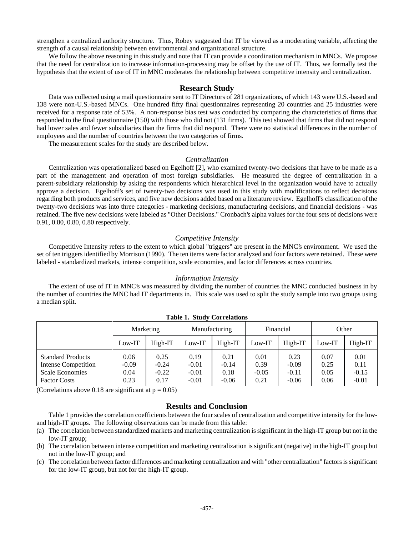strengthen a centralized authority structure. Thus, Robey suggested that IT be viewed as a moderating variable, affecting the strength of a causal relationship between environmental and organizational structure.

We follow the above reasoning in this study and note that IT can provide a coordination mechanism in MNCs. We propose that the need for centralization to increase information-processing may be offset by the use of IT. Thus, we formally test the hypothesis that the extent of use of IT in MNC moderates the relationship between competitive intensity and centralization.

#### **Research Study**

Data was collected using a mail questionnaire sent to IT Directors of 281 organizations, of which 143 were U.S.-based and 138 were non-U.S.-based MNCs. One hundred fifty final questionnaires representing 20 countries and 25 industries were received for a response rate of 53%. A non-response bias test was conducted by comparing the characteristics of firms that responded to the final questionnaire (150) with those who did not (131 firms). This test showed that firms that did not respond had lower sales and fewer subsidiaries than the firms that did respond. There were no statistical differences in the number of employees and the number of countries between the two categories of firms.

The measurement scales for the study are described below.

#### *Centralization*

Centralization was operationalized based on Egelhoff [2], who examined twenty-two decisions that have to be made as a part of the management and operation of most foreign subsidiaries. He measured the degree of centralization in a parent-subsidiary relationship by asking the respondents which hierarchical level in the organization would have to actually approve a decision. Egelhoff's set of twenty-two decisions was used in this study with modifications to reflect decisions regarding both products and services, and five new decisions added based on a literature review. Egelhoff's classification of the twenty-two decisions was into three categories - marketing decisions, manufacturing decisions, and financial decisions - was retained. The five new decisions were labeled as "Other Decisions." Cronbach's alpha values for the four sets of decisions were 0.91, 0.80, 0.80, 0.80 respectively.

#### *Competitive Intensity*

Competitive Intensity refers to the extent to which global "triggers" are present in the MNC's environment. We used the set of ten triggers identified by Morrison (1990). The ten items were factor analyzed and four factors were retained. These were labeled - standardized markets, intense competition, scale economies, and factor differences across countries.

#### *Information Intensity*

The extent of use of IT in MNC's was measured by dividing the number of countries the MNC conducted business in by the number of countries the MNC had IT departments in. This scale was used to split the study sample into two groups using a median split.

|                                                                                                  | Marketing                       |                                    | Manufacturing                         |                                    | Financial                       |                                       | Other                        |                                    |
|--------------------------------------------------------------------------------------------------|---------------------------------|------------------------------------|---------------------------------------|------------------------------------|---------------------------------|---------------------------------------|------------------------------|------------------------------------|
|                                                                                                  | Low-IT                          | High-IT                            | $Low-IT$                              | High-IT                            | Low-IT                          | High-IT                               | $Low-IT$                     | High-IT                            |
| <b>Standard Products</b><br>Intense Competition<br><b>Scale Economies</b><br><b>Factor Costs</b> | 0.06<br>$-0.09$<br>0.04<br>0.23 | 0.25<br>$-0.24$<br>$-0.22$<br>0.17 | 0.19<br>$-0.01$<br>$-0.01$<br>$-0.01$ | 0.21<br>$-0.14$<br>0.18<br>$-0.06$ | 0.01<br>0.39<br>$-0.05$<br>0.21 | 0.23<br>$-0.09$<br>$-0.11$<br>$-0.06$ | 0.07<br>0.25<br>0.05<br>0.06 | 0.01<br>0.11<br>$-0.15$<br>$-0.01$ |

**Table 1. Study Correlations**

(Correlations above 0.18 are significant at  $p = 0.05$ )

### **Results and Conclusion**

Table 1 provides the correlation coefficients between the four scales of centralization and competitive intensity for the lowand high-IT groups. The following observations can be made from this table:

- (a) The correlation between standardized markets and marketing centralization is significant in the high-IT group but not in the low-IT group;
- (b) The correlation between intense competition and marketing centralization is significant (negative) in the high-IT group but not in the low-IT group; and
- (c) The correlation between factor differences and marketing centralization and with "other centralization" factors is significant for the low-IT group, but not for the high-IT group.